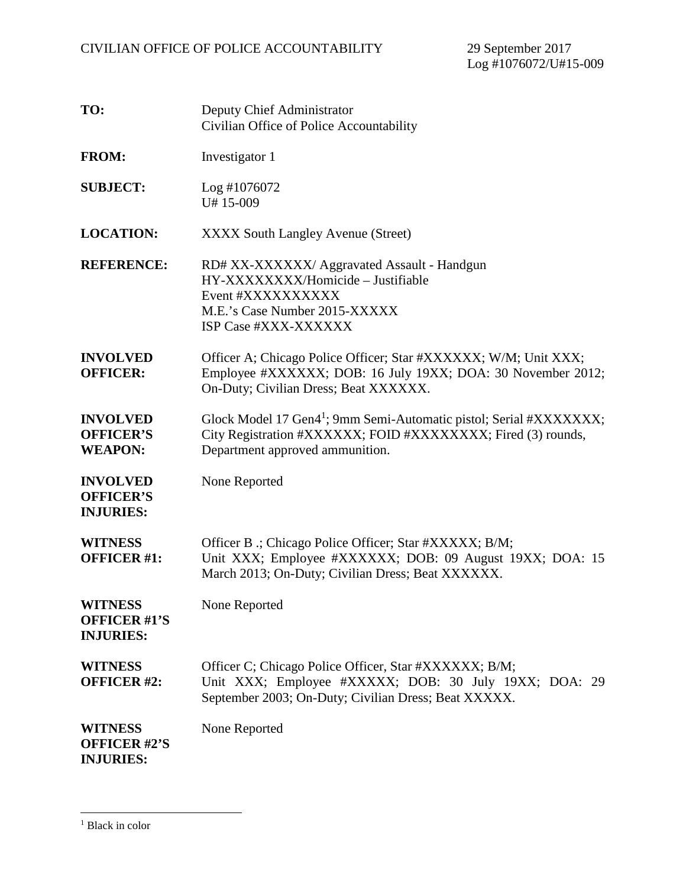| TO:                                                       | Deputy Chief Administrator<br>Civilian Office of Police Accountability                                                                                                            |
|-----------------------------------------------------------|-----------------------------------------------------------------------------------------------------------------------------------------------------------------------------------|
| <b>FROM:</b>                                              | Investigator 1                                                                                                                                                                    |
| <b>SUBJECT:</b>                                           | Log #1076072<br>U#15-009                                                                                                                                                          |
| <b>LOCATION:</b>                                          | <b>XXXX South Langley Avenue (Street)</b>                                                                                                                                         |
| <b>REFERENCE:</b>                                         | RD# XX-XXXXXX/ Aggravated Assault - Handgun<br>HY-XXXXXXXX/Homicide - Justifiable<br>Event #XXXXXXXXXX<br>M.E.'s Case Number 2015-XXXXX<br>ISP Case #XXX-XXXXXX                   |
| <b>INVOLVED</b><br><b>OFFICER:</b>                        | Officer A; Chicago Police Officer; Star #XXXXXX; W/M; Unit XXX;<br>Employee #XXXXXX; DOB: 16 July 19XX; DOA: 30 November 2012;<br>On-Duty; Civilian Dress; Beat XXXXXX.           |
| <b>INVOLVED</b><br><b>OFFICER'S</b><br><b>WEAPON:</b>     | Glock Model 17 Gen4 <sup>1</sup> ; 9mm Semi-Automatic pistol; Serial #XXXXXXX;<br>City Registration #XXXXXX; FOID #XXXXXXXX; Fired (3) rounds,<br>Department approved ammunition. |
| <b>INVOLVED</b><br><b>OFFICER'S</b><br><b>INJURIES:</b>   | None Reported                                                                                                                                                                     |
| <b>WITNESS</b><br><b>OFFICER #1:</b>                      | Officer B .; Chicago Police Officer; Star #XXXXX; B/M;<br>Unit XXX; Employee #XXXXXX; DOB: 09 August 19XX; DOA: 15<br>March 2013; On-Duty; Civilian Dress; Beat XXXXXX.           |
| <b>WITNESS</b><br><b>OFFICER #1'S</b><br><b>INJURIES:</b> | None Reported                                                                                                                                                                     |
| <b>WITNESS</b><br><b>OFFICER #2:</b>                      | Officer C; Chicago Police Officer, Star #XXXXXX; B/M;<br>Unit XXX; Employee #XXXXX; DOB: 30 July 19XX; DOA: 29<br>September 2003; On-Duty; Civilian Dress; Beat XXXXX.            |
| <b>WITNESS</b><br><b>OFFICER #2'S</b><br><b>INJURIES:</b> | None Reported                                                                                                                                                                     |

<sup>&</sup>lt;sup>1</sup> Black in color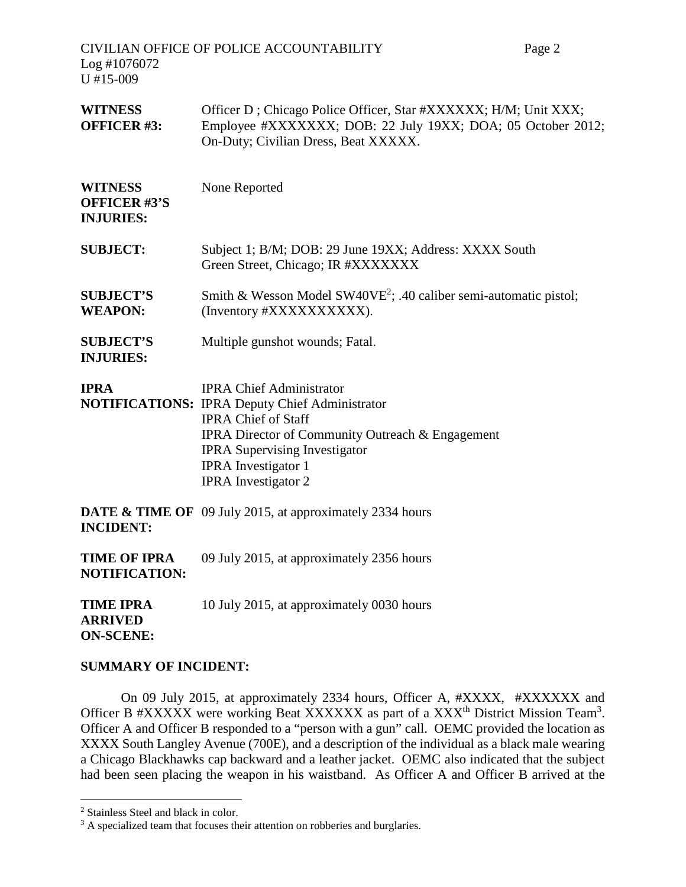CIVILIAN OFFICE OF POLICE ACCOUNTABILITY Page 2 Log #1076072 U #15-009 WITNESS Officer D; Chicago Police Officer, Star #XXXXXX; H/M; Unit XXX; **OFFICER #3:** Employee #XXXXXXX; DOB: 22 July 19XX; DOA; 05 October 2012; On-Duty; Civilian Dress, Beat XXXXX. **WITNESS** None Reported **OFFICER #3'S INJURIES: SUBJECT:** Subject 1; B/M; DOB: 29 June 19XX; Address: XXXX South Green Street, Chicago; IR #XXXXXXX **SUBJECT'S** Smith & Wesson Model SW40VE<sup>2</sup>; .40 caliber semi-automatic pistol; **WEAPON:** (Inventory #XXXXXXXXXX). **SUBJECT'S** Multiple gunshot wounds; Fatal. **INJURIES: IPRA** IPRA Chief Administrator **NOTIFICATIONS:** IPRA Deputy Chief Administrator IPRA Chief of Staff IPRA Director of Community Outreach & Engagement IPRA Supervising Investigator IPRA Investigator 1 IPRA Investigator 2 **DATE & TIME OF** 09 July 2015, at approximately 2334 hours **INCIDENT: TIME OF IPRA** 09 July 2015, at approximately 2356 hours **NOTIFICATION: TIME IPRA** 10 July 2015, at approximately 0030 hours **ARRIVED ON-SCENE:**

#### **SUMMARY OF INCIDENT:**

On 09 July 2015, at approximately 2334 hours, Officer A, #XXXX, #XXXXXX and Officer B #XXXXX were working Beat XXXXXX as part of a XXX<sup>th</sup> District Mission Team<sup>3</sup>. Officer A and Officer B responded to a "person with a gun" call. OEMC provided the location as XXXX South Langley Avenue (700E), and a description of the individual as a black male wearing a Chicago Blackhawks cap backward and a leather jacket. OEMC also indicated that the subject had been seen placing the weapon in his waistband. As Officer A and Officer B arrived at the

<sup>2</sup> Stainless Steel and black in color.

<sup>&</sup>lt;sup>3</sup> A specialized team that focuses their attention on robberies and burglaries.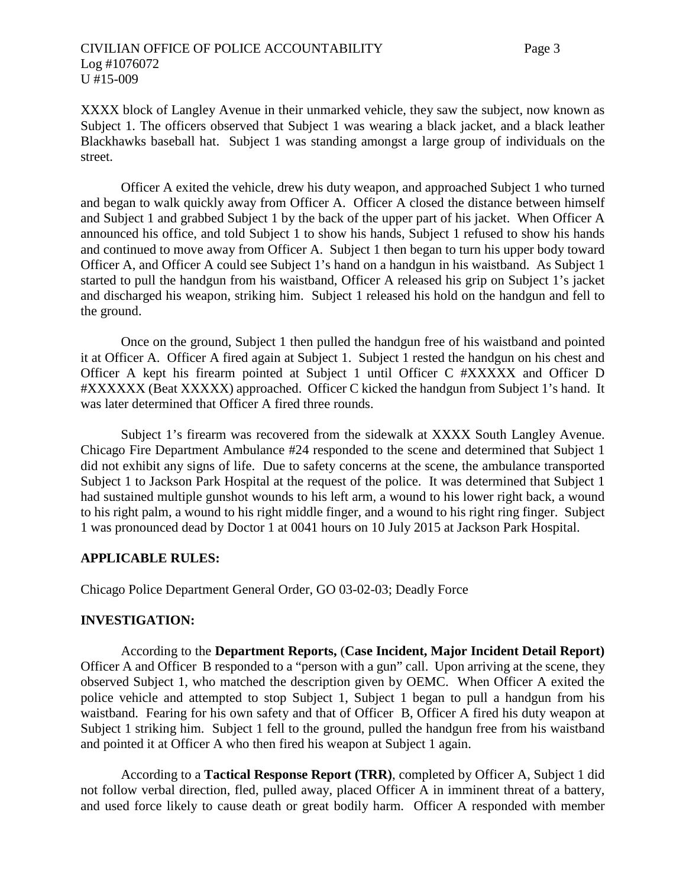XXXX block of Langley Avenue in their unmarked vehicle, they saw the subject, now known as Subject 1. The officers observed that Subject 1 was wearing a black jacket, and a black leather Blackhawks baseball hat. Subject 1 was standing amongst a large group of individuals on the street.

Officer A exited the vehicle, drew his duty weapon, and approached Subject 1 who turned and began to walk quickly away from Officer A. Officer A closed the distance between himself and Subject 1 and grabbed Subject 1 by the back of the upper part of his jacket. When Officer A announced his office, and told Subject 1 to show his hands, Subject 1 refused to show his hands and continued to move away from Officer A. Subject 1 then began to turn his upper body toward Officer A, and Officer A could see Subject 1's hand on a handgun in his waistband. As Subject 1 started to pull the handgun from his waistband, Officer A released his grip on Subject 1's jacket and discharged his weapon, striking him. Subject 1 released his hold on the handgun and fell to the ground.

Once on the ground, Subject 1 then pulled the handgun free of his waistband and pointed it at Officer A. Officer A fired again at Subject 1. Subject 1 rested the handgun on his chest and Officer A kept his firearm pointed at Subject 1 until Officer C #XXXXX and Officer D #XXXXXX (Beat XXXXX) approached. Officer C kicked the handgun from Subject 1's hand. It was later determined that Officer A fired three rounds.

Subject 1's firearm was recovered from the sidewalk at XXXX South Langley Avenue. Chicago Fire Department Ambulance #24 responded to the scene and determined that Subject 1 did not exhibit any signs of life. Due to safety concerns at the scene, the ambulance transported Subject 1 to Jackson Park Hospital at the request of the police. It was determined that Subject 1 had sustained multiple gunshot wounds to his left arm, a wound to his lower right back, a wound to his right palm, a wound to his right middle finger, and a wound to his right ring finger. Subject 1 was pronounced dead by Doctor 1 at 0041 hours on 10 July 2015 at Jackson Park Hospital.

#### **APPLICABLE RULES:**

Chicago Police Department General Order, GO 03-02-03; Deadly Force

# **INVESTIGATION:**

According to the **Department Reports,** (**Case Incident, Major Incident Detail Report)** Officer A and Officer B responded to a "person with a gun" call. Upon arriving at the scene, they observed Subject 1, who matched the description given by OEMC. When Officer A exited the police vehicle and attempted to stop Subject 1, Subject 1 began to pull a handgun from his waistband. Fearing for his own safety and that of Officer B, Officer A fired his duty weapon at Subject 1 striking him. Subject 1 fell to the ground, pulled the handgun free from his waistband and pointed it at Officer A who then fired his weapon at Subject 1 again.

According to a **Tactical Response Report (TRR)**, completed by Officer A, Subject 1 did not follow verbal direction, fled, pulled away, placed Officer A in imminent threat of a battery, and used force likely to cause death or great bodily harm. Officer A responded with member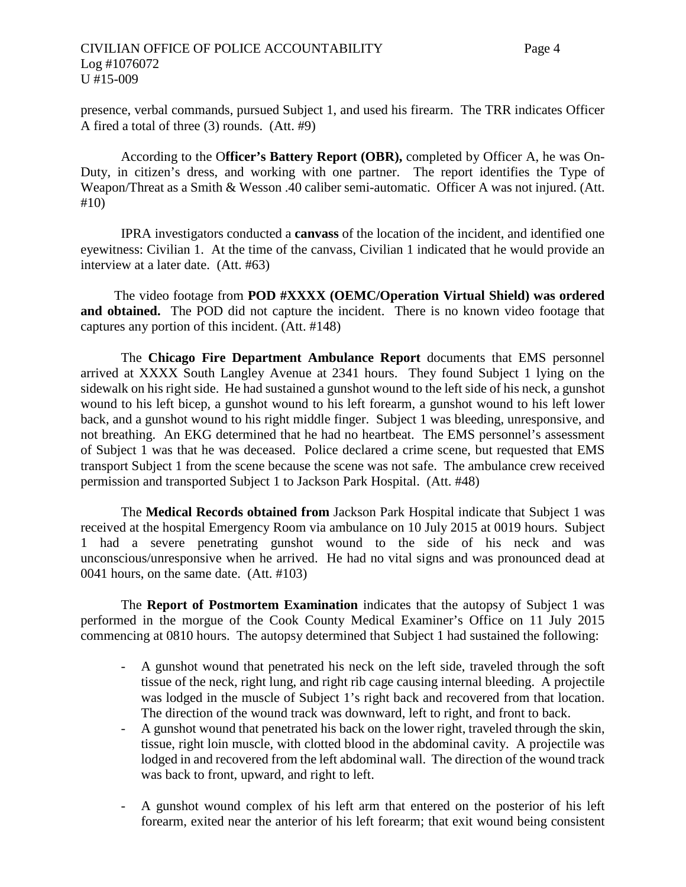presence, verbal commands, pursued Subject 1, and used his firearm. The TRR indicates Officer A fired a total of three (3) rounds. (Att. #9)

According to the O**fficer's Battery Report (OBR),** completed by Officer A, he was On-Duty, in citizen's dress, and working with one partner. The report identifies the Type of Weapon/Threat as a Smith & Wesson .40 caliber semi-automatic. Officer A was not injured. (Att. #10)

IPRA investigators conducted a **canvass** of the location of the incident, and identified one eyewitness: Civilian 1. At the time of the canvass, Civilian 1 indicated that he would provide an interview at a later date. (Att. #63)

The video footage from **POD #XXXX (OEMC/Operation Virtual Shield) was ordered and obtained.** The POD did not capture the incident. There is no known video footage that captures any portion of this incident. (Att. #148)

The **Chicago Fire Department Ambulance Report** documents that EMS personnel arrived at XXXX South Langley Avenue at 2341 hours. They found Subject 1 lying on the sidewalk on his right side. He had sustained a gunshot wound to the left side of his neck, a gunshot wound to his left bicep, a gunshot wound to his left forearm, a gunshot wound to his left lower back, and a gunshot wound to his right middle finger. Subject 1 was bleeding, unresponsive, and not breathing. An EKG determined that he had no heartbeat. The EMS personnel's assessment of Subject 1 was that he was deceased. Police declared a crime scene, but requested that EMS transport Subject 1 from the scene because the scene was not safe. The ambulance crew received permission and transported Subject 1 to Jackson Park Hospital. (Att. #48)

The **Medical Records obtained from** Jackson Park Hospital indicate that Subject 1 was received at the hospital Emergency Room via ambulance on 10 July 2015 at 0019 hours. Subject 1 had a severe penetrating gunshot wound to the side of his neck and was unconscious/unresponsive when he arrived. He had no vital signs and was pronounced dead at 0041 hours, on the same date. (Att. #103)

The **Report of Postmortem Examination** indicates that the autopsy of Subject 1 was performed in the morgue of the Cook County Medical Examiner's Office on 11 July 2015 commencing at 0810 hours. The autopsy determined that Subject 1 had sustained the following:

- A gunshot wound that penetrated his neck on the left side, traveled through the soft tissue of the neck, right lung, and right rib cage causing internal bleeding. A projectile was lodged in the muscle of Subject 1's right back and recovered from that location. The direction of the wound track was downward, left to right, and front to back.
- A gunshot wound that penetrated his back on the lower right, traveled through the skin, tissue, right loin muscle, with clotted blood in the abdominal cavity. A projectile was lodged in and recovered from the left abdominal wall. The direction of the wound track was back to front, upward, and right to left.
- A gunshot wound complex of his left arm that entered on the posterior of his left forearm, exited near the anterior of his left forearm; that exit wound being consistent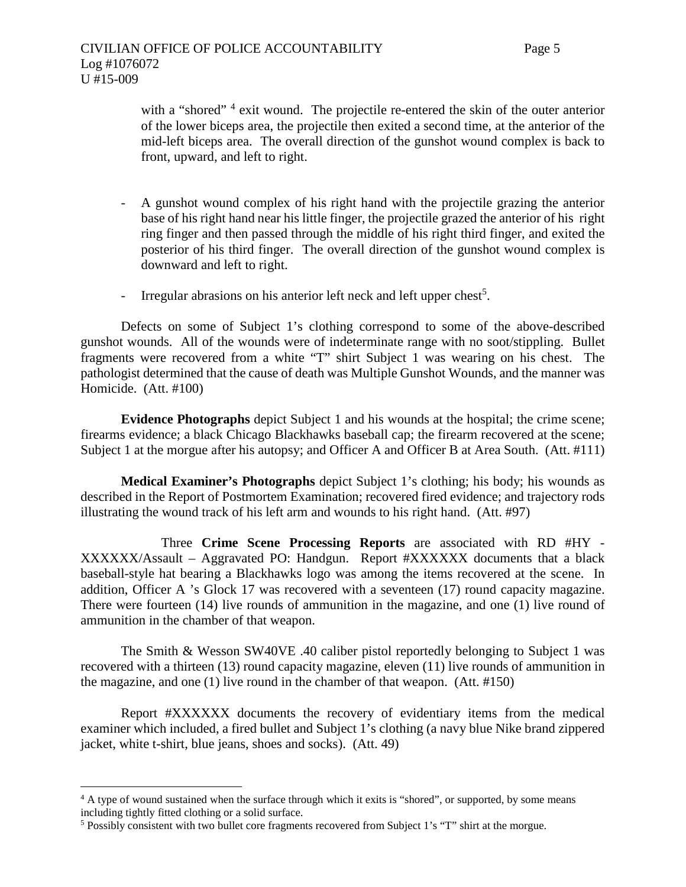with a "shored"<sup>4</sup> exit wound. The projectile re-entered the skin of the outer anterior of the lower biceps area, the projectile then exited a second time, at the anterior of the mid-left biceps area. The overall direction of the gunshot wound complex is back to front, upward, and left to right.

- A gunshot wound complex of his right hand with the projectile grazing the anterior base of his right hand near his little finger, the projectile grazed the anterior of his right ring finger and then passed through the middle of his right third finger, and exited the posterior of his third finger. The overall direction of the gunshot wound complex is downward and left to right.
- Irregular abrasions on his anterior left neck and left upper chest<sup>5</sup>.

Defects on some of Subject 1's clothing correspond to some of the above-described gunshot wounds. All of the wounds were of indeterminate range with no soot/stippling. Bullet fragments were recovered from a white "T" shirt Subject 1 was wearing on his chest. The pathologist determined that the cause of death was Multiple Gunshot Wounds, and the manner was Homicide. (Att. #100)

**Evidence Photographs** depict Subject 1 and his wounds at the hospital; the crime scene; firearms evidence; a black Chicago Blackhawks baseball cap; the firearm recovered at the scene; Subject 1 at the morgue after his autopsy; and Officer A and Officer B at Area South. (Att. #111)

**Medical Examiner's Photographs** depict Subject 1's clothing; his body; his wounds as described in the Report of Postmortem Examination; recovered fired evidence; and trajectory rods illustrating the wound track of his left arm and wounds to his right hand. (Att. #97)

Three **Crime Scene Processing Reports** are associated with RD #HY - XXXXXX/Assault – Aggravated PO: Handgun. Report #XXXXXX documents that a black baseball-style hat bearing a Blackhawks logo was among the items recovered at the scene. In addition, Officer A 's Glock 17 was recovered with a seventeen (17) round capacity magazine. There were fourteen (14) live rounds of ammunition in the magazine, and one (1) live round of ammunition in the chamber of that weapon.

The Smith & Wesson SW40VE .40 caliber pistol reportedly belonging to Subject 1 was recovered with a thirteen (13) round capacity magazine, eleven (11) live rounds of ammunition in the magazine, and one (1) live round in the chamber of that weapon. (Att. #150)

Report #XXXXXX documents the recovery of evidentiary items from the medical examiner which included, a fired bullet and Subject 1's clothing (a navy blue Nike brand zippered jacket, white t-shirt, blue jeans, shoes and socks). (Att. 49)

<sup>&</sup>lt;sup>4</sup> A type of wound sustained when the surface through which it exits is "shored", or supported, by some means including tightly fitted clothing or a solid surface.

<sup>5</sup> Possibly consistent with two bullet core fragments recovered from Subject 1's "T" shirt at the morgue.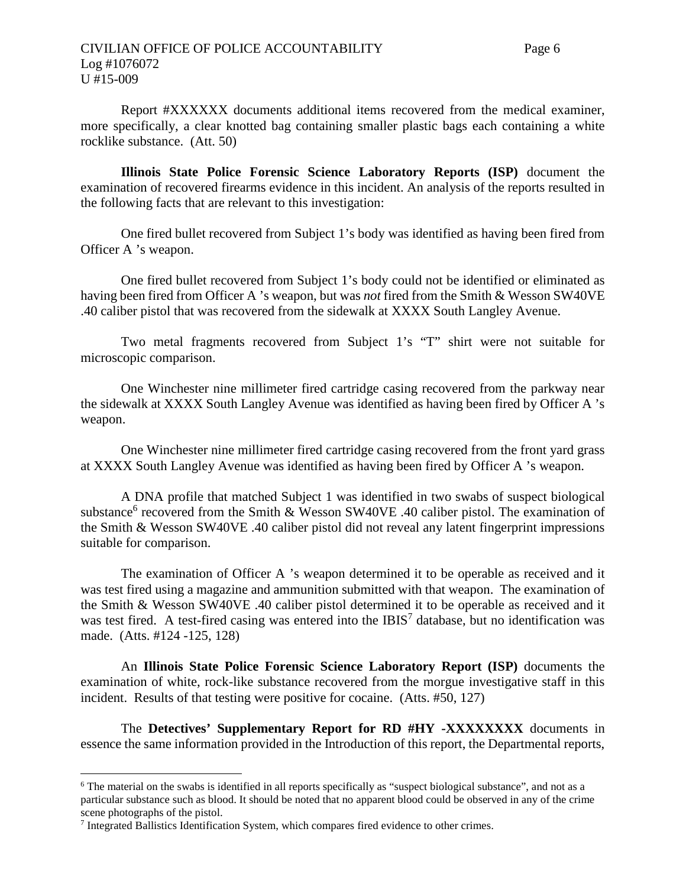Report #XXXXXX documents additional items recovered from the medical examiner, more specifically, a clear knotted bag containing smaller plastic bags each containing a white rocklike substance. (Att. 50)

**Illinois State Police Forensic Science Laboratory Reports (ISP)** document the examination of recovered firearms evidence in this incident. An analysis of the reports resulted in the following facts that are relevant to this investigation:

One fired bullet recovered from Subject 1's body was identified as having been fired from Officer A 's weapon.

One fired bullet recovered from Subject 1's body could not be identified or eliminated as having been fired from Officer A 's weapon, but was *not* fired from the Smith & Wesson SW40VE .40 caliber pistol that was recovered from the sidewalk at XXXX South Langley Avenue.

Two metal fragments recovered from Subject 1's "T" shirt were not suitable for microscopic comparison.

One Winchester nine millimeter fired cartridge casing recovered from the parkway near the sidewalk at XXXX South Langley Avenue was identified as having been fired by Officer A 's weapon.

One Winchester nine millimeter fired cartridge casing recovered from the front yard grass at XXXX South Langley Avenue was identified as having been fired by Officer A 's weapon.

A DNA profile that matched Subject 1 was identified in two swabs of suspect biological substance<sup>6</sup> recovered from the Smith & Wesson SW40VE .40 caliber pistol. The examination of the Smith & Wesson SW40VE .40 caliber pistol did not reveal any latent fingerprint impressions suitable for comparison.

The examination of Officer A 's weapon determined it to be operable as received and it was test fired using a magazine and ammunition submitted with that weapon. The examination of the Smith & Wesson SW40VE .40 caliber pistol determined it to be operable as received and it was test fired. A test-fired casing was entered into the IBIS<sup>7</sup> database, but no identification was made. (Atts. #124 -125, 128)

An **Illinois State Police Forensic Science Laboratory Report (ISP)** documents the examination of white, rock-like substance recovered from the morgue investigative staff in this incident. Results of that testing were positive for cocaine. (Atts. #50, 127)

The **Detectives' Supplementary Report for RD #HY -XXXXXXXX** documents in essence the same information provided in the Introduction of this report, the Departmental reports,

<sup>6</sup> The material on the swabs is identified in all reports specifically as "suspect biological substance", and not as a particular substance such as blood. It should be noted that no apparent blood could be observed in any of the crime scene photographs of the pistol.

<sup>&</sup>lt;sup>7</sup> Integrated Ballistics Identification System, which compares fired evidence to other crimes.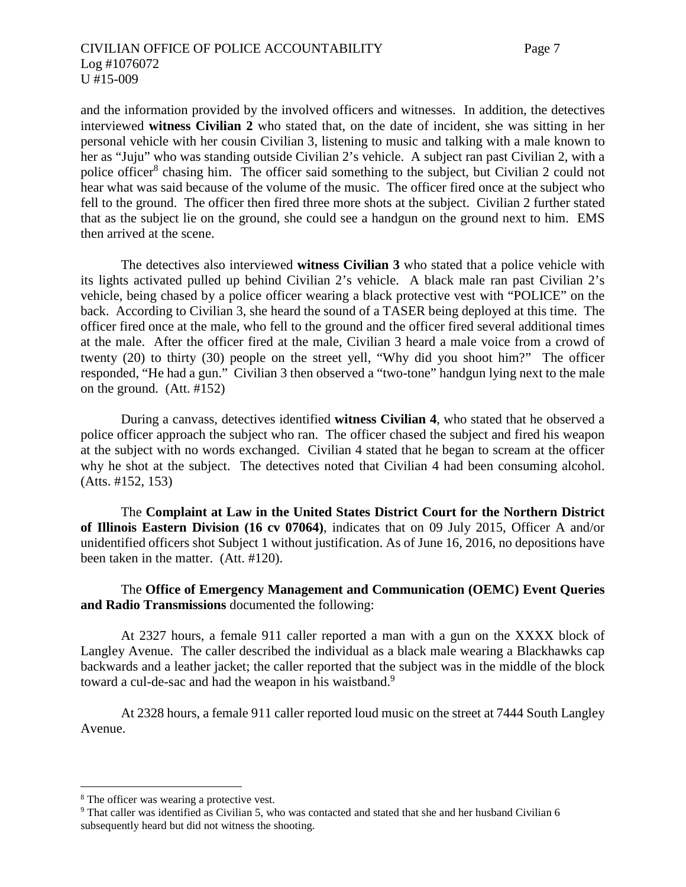and the information provided by the involved officers and witnesses. In addition, the detectives interviewed **witness Civilian 2** who stated that, on the date of incident, she was sitting in her personal vehicle with her cousin Civilian 3, listening to music and talking with a male known to her as "Juju" who was standing outside Civilian 2's vehicle. A subject ran past Civilian 2, with a police officer<sup>8</sup> chasing him. The officer said something to the subject, but Civilian 2 could not hear what was said because of the volume of the music. The officer fired once at the subject who fell to the ground. The officer then fired three more shots at the subject. Civilian 2 further stated that as the subject lie on the ground, she could see a handgun on the ground next to him. EMS then arrived at the scene.

The detectives also interviewed **witness Civilian 3** who stated that a police vehicle with its lights activated pulled up behind Civilian 2's vehicle. A black male ran past Civilian 2's vehicle, being chased by a police officer wearing a black protective vest with "POLICE" on the back. According to Civilian 3, she heard the sound of a TASER being deployed at this time. The officer fired once at the male, who fell to the ground and the officer fired several additional times at the male. After the officer fired at the male, Civilian 3 heard a male voice from a crowd of twenty (20) to thirty (30) people on the street yell, "Why did you shoot him?" The officer responded, "He had a gun." Civilian 3 then observed a "two-tone" handgun lying next to the male on the ground. (Att. #152)

During a canvass, detectives identified **witness Civilian 4**, who stated that he observed a police officer approach the subject who ran. The officer chased the subject and fired his weapon at the subject with no words exchanged. Civilian 4 stated that he began to scream at the officer why he shot at the subject. The detectives noted that Civilian 4 had been consuming alcohol. (Atts. #152, 153)

The **Complaint at Law in the United States District Court for the Northern District of Illinois Eastern Division (16 cv 07064)**, indicates that on 09 July 2015, Officer A and/or unidentified officers shot Subject 1 without justification. As of June 16, 2016, no depositions have been taken in the matter. (Att. #120).

# The **Office of Emergency Management and Communication (OEMC) Event Queries and Radio Transmissions** documented the following:

At 2327 hours, a female 911 caller reported a man with a gun on the XXXX block of Langley Avenue. The caller described the individual as a black male wearing a Blackhawks cap backwards and a leather jacket; the caller reported that the subject was in the middle of the block toward a cul-de-sac and had the weapon in his waistband.<sup>9</sup>

At 2328 hours, a female 911 caller reported loud music on the street at 7444 South Langley Avenue.

<sup>&</sup>lt;sup>8</sup> The officer was wearing a protective vest.

<sup>9</sup> That caller was identified as Civilian 5, who was contacted and stated that she and her husband Civilian 6 subsequently heard but did not witness the shooting.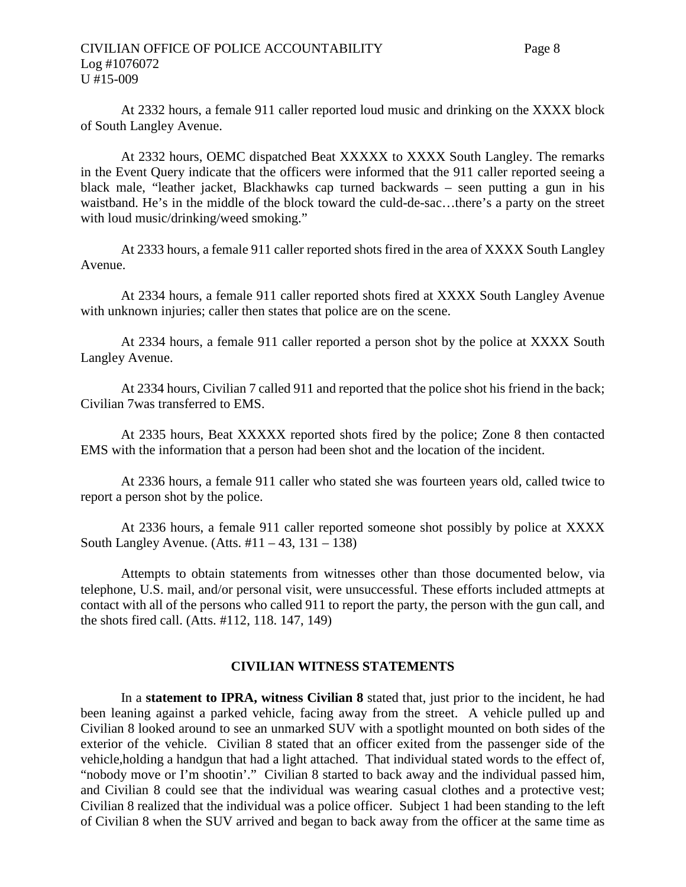At 2332 hours, a female 911 caller reported loud music and drinking on the XXXX block of South Langley Avenue.

At 2332 hours, OEMC dispatched Beat XXXXX to XXXX South Langley. The remarks in the Event Query indicate that the officers were informed that the 911 caller reported seeing a black male, "leather jacket, Blackhawks cap turned backwards – seen putting a gun in his waistband. He's in the middle of the block toward the culd-de-sac…there's a party on the street with loud music/drinking/weed smoking."

At 2333 hours, a female 911 caller reported shots fired in the area of XXXX South Langley Avenue.

At 2334 hours, a female 911 caller reported shots fired at XXXX South Langley Avenue with unknown injuries; caller then states that police are on the scene.

At 2334 hours, a female 911 caller reported a person shot by the police at XXXX South Langley Avenue.

At 2334 hours, Civilian 7 called 911 and reported that the police shot his friend in the back; Civilian 7was transferred to EMS.

At 2335 hours, Beat XXXXX reported shots fired by the police; Zone 8 then contacted EMS with the information that a person had been shot and the location of the incident.

At 2336 hours, a female 911 caller who stated she was fourteen years old, called twice to report a person shot by the police.

At 2336 hours, a female 911 caller reported someone shot possibly by police at XXXX South Langley Avenue. (Atts.  $\#11 - 43$ ,  $131 - 138$ )

Attempts to obtain statements from witnesses other than those documented below, via telephone, U.S. mail, and/or personal visit, were unsuccessful. These efforts included attmepts at contact with all of the persons who called 911 to report the party, the person with the gun call, and the shots fired call. (Atts. #112, 118. 147, 149)

# **CIVILIAN WITNESS STATEMENTS**

In a **statement to IPRA, witness Civilian 8** stated that, just prior to the incident, he had been leaning against a parked vehicle, facing away from the street. A vehicle pulled up and Civilian 8 looked around to see an unmarked SUV with a spotlight mounted on both sides of the exterior of the vehicle. Civilian 8 stated that an officer exited from the passenger side of the vehicle,holding a handgun that had a light attached. That individual stated words to the effect of, "nobody move or I'm shootin'." Civilian 8 started to back away and the individual passed him, and Civilian 8 could see that the individual was wearing casual clothes and a protective vest; Civilian 8 realized that the individual was a police officer. Subject 1 had been standing to the left of Civilian 8 when the SUV arrived and began to back away from the officer at the same time as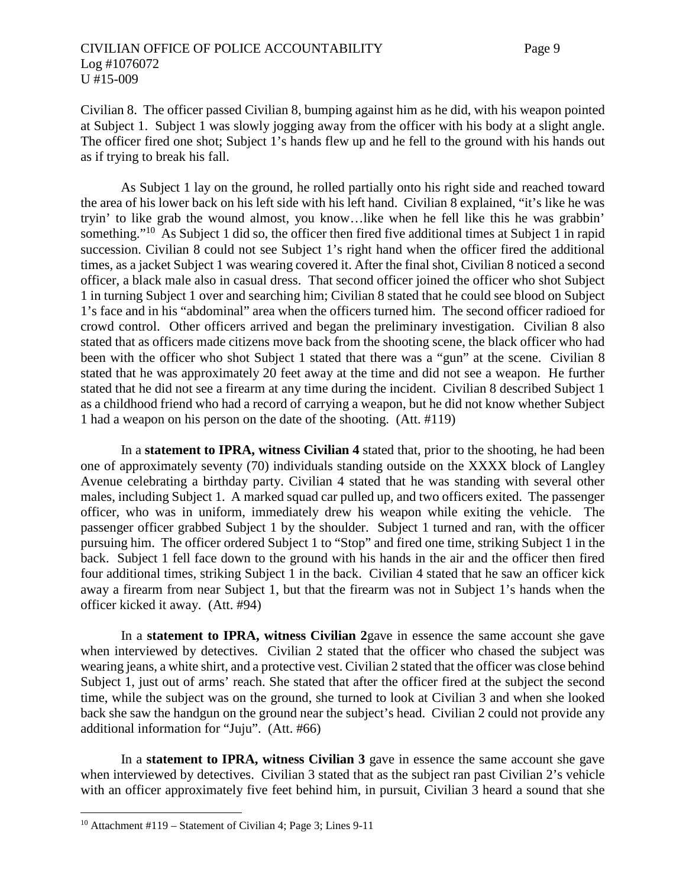Civilian 8. The officer passed Civilian 8, bumping against him as he did, with his weapon pointed at Subject 1. Subject 1 was slowly jogging away from the officer with his body at a slight angle. The officer fired one shot; Subject 1's hands flew up and he fell to the ground with his hands out as if trying to break his fall.

As Subject 1 lay on the ground, he rolled partially onto his right side and reached toward the area of his lower back on his left side with his left hand. Civilian 8 explained, "it's like he was tryin' to like grab the wound almost, you know…like when he fell like this he was grabbin' something."<sup>10</sup> As Subject 1 did so, the officer then fired five additional times at Subject 1 in rapid succession. Civilian 8 could not see Subject 1's right hand when the officer fired the additional times, as a jacket Subject 1 was wearing covered it. After the final shot, Civilian 8 noticed a second officer, a black male also in casual dress. That second officer joined the officer who shot Subject 1 in turning Subject 1 over and searching him; Civilian 8 stated that he could see blood on Subject 1's face and in his "abdominal" area when the officers turned him. The second officer radioed for crowd control. Other officers arrived and began the preliminary investigation. Civilian 8 also stated that as officers made citizens move back from the shooting scene, the black officer who had been with the officer who shot Subject 1 stated that there was a "gun" at the scene. Civilian 8 stated that he was approximately 20 feet away at the time and did not see a weapon. He further stated that he did not see a firearm at any time during the incident. Civilian 8 described Subject 1 as a childhood friend who had a record of carrying a weapon, but he did not know whether Subject 1 had a weapon on his person on the date of the shooting. (Att. #119)

In a **statement to IPRA, witness Civilian 4** stated that, prior to the shooting, he had been one of approximately seventy (70) individuals standing outside on the XXXX block of Langley Avenue celebrating a birthday party. Civilian 4 stated that he was standing with several other males, including Subject 1. A marked squad car pulled up, and two officers exited. The passenger officer, who was in uniform, immediately drew his weapon while exiting the vehicle. The passenger officer grabbed Subject 1 by the shoulder. Subject 1 turned and ran, with the officer pursuing him. The officer ordered Subject 1 to "Stop" and fired one time, striking Subject 1 in the back. Subject 1 fell face down to the ground with his hands in the air and the officer then fired four additional times, striking Subject 1 in the back. Civilian 4 stated that he saw an officer kick away a firearm from near Subject 1, but that the firearm was not in Subject 1's hands when the officer kicked it away. (Att. #94)

In a **statement to IPRA, witness Civilian 2**gave in essence the same account she gave when interviewed by detectives. Civilian 2 stated that the officer who chased the subject was wearing jeans, a white shirt, and a protective vest. Civilian 2 stated that the officer was close behind Subject 1, just out of arms' reach. She stated that after the officer fired at the subject the second time, while the subject was on the ground, she turned to look at Civilian 3 and when she looked back she saw the handgun on the ground near the subject's head. Civilian 2 could not provide any additional information for "Juju". (Att. #66)

In a **statement to IPRA, witness Civilian 3** gave in essence the same account she gave when interviewed by detectives. Civilian 3 stated that as the subject ran past Civilian 2's vehicle with an officer approximately five feet behind him, in pursuit, Civilian 3 heard a sound that she

<sup>10</sup> Attachment #119 – Statement of Civilian 4; Page 3; Lines 9-11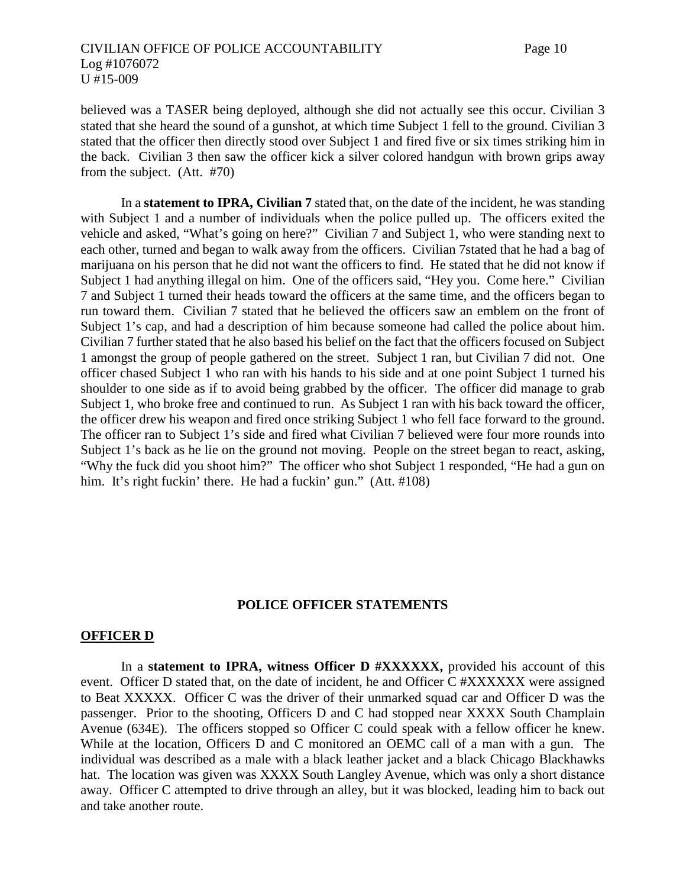believed was a TASER being deployed, although she did not actually see this occur. Civilian 3 stated that she heard the sound of a gunshot, at which time Subject 1 fell to the ground. Civilian 3 stated that the officer then directly stood over Subject 1 and fired five or six times striking him in the back. Civilian 3 then saw the officer kick a silver colored handgun with brown grips away from the subject. (Att. #70)

In a **statement to IPRA, Civilian 7** stated that, on the date of the incident, he was standing with Subject 1 and a number of individuals when the police pulled up. The officers exited the vehicle and asked, "What's going on here?" Civilian 7 and Subject 1, who were standing next to each other, turned and began to walk away from the officers. Civilian 7stated that he had a bag of marijuana on his person that he did not want the officers to find. He stated that he did not know if Subject 1 had anything illegal on him. One of the officers said, "Hey you. Come here." Civilian 7 and Subject 1 turned their heads toward the officers at the same time, and the officers began to run toward them. Civilian 7 stated that he believed the officers saw an emblem on the front of Subject 1's cap, and had a description of him because someone had called the police about him. Civilian 7 further stated that he also based his belief on the fact that the officers focused on Subject 1 amongst the group of people gathered on the street. Subject 1 ran, but Civilian 7 did not. One officer chased Subject 1 who ran with his hands to his side and at one point Subject 1 turned his shoulder to one side as if to avoid being grabbed by the officer. The officer did manage to grab Subject 1, who broke free and continued to run. As Subject 1 ran with his back toward the officer, the officer drew his weapon and fired once striking Subject 1 who fell face forward to the ground. The officer ran to Subject 1's side and fired what Civilian 7 believed were four more rounds into Subject 1's back as he lie on the ground not moving. People on the street began to react, asking, "Why the fuck did you shoot him?" The officer who shot Subject 1 responded, "He had a gun on him. It's right fuckin' there. He had a fuckin' gun." (Att. #108)

#### **POLICE OFFICER STATEMENTS**

#### **OFFICER D**

In a **statement to IPRA, witness Officer D #XXXXXX,** provided his account of this event. Officer D stated that, on the date of incident, he and Officer C #XXXXXX were assigned to Beat XXXXX. Officer C was the driver of their unmarked squad car and Officer D was the passenger. Prior to the shooting, Officers D and C had stopped near XXXX South Champlain Avenue (634E). The officers stopped so Officer C could speak with a fellow officer he knew. While at the location, Officers D and C monitored an OEMC call of a man with a gun. The individual was described as a male with a black leather jacket and a black Chicago Blackhawks hat. The location was given was XXXX South Langley Avenue, which was only a short distance away. Officer C attempted to drive through an alley, but it was blocked, leading him to back out and take another route.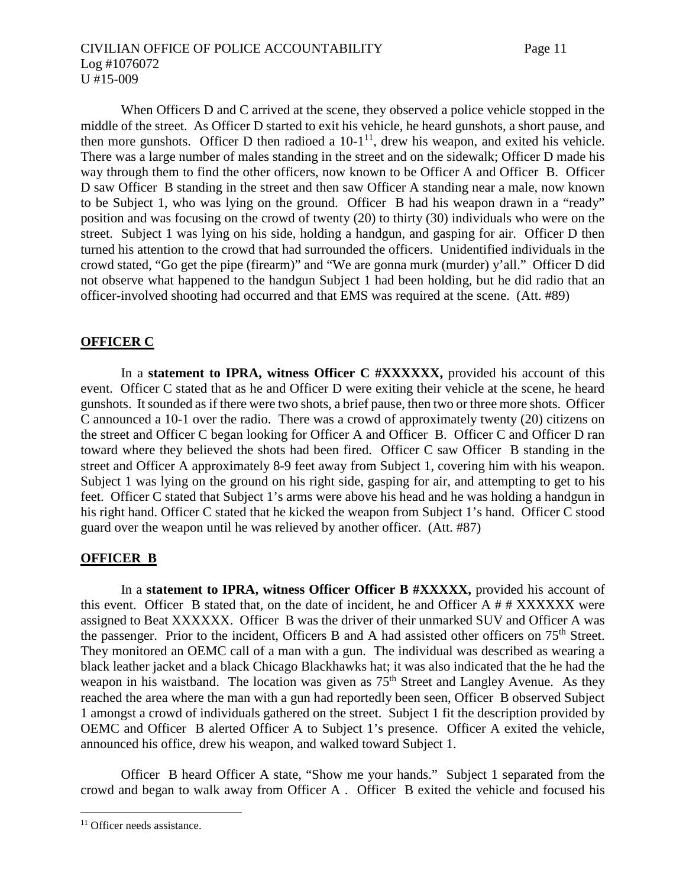# CIVILIAN OFFICE OF POLICE ACCOUNTABILITY Page 11 Log #1076072 U #15-009

When Officers D and C arrived at the scene, they observed a police vehicle stopped in the middle of the street. As Officer D started to exit his vehicle, he heard gunshots, a short pause, and then more gunshots. Officer D then radioed a  $10-1^{11}$ , drew his weapon, and exited his vehicle. There was a large number of males standing in the street and on the sidewalk; Officer D made his way through them to find the other officers, now known to be Officer A and Officer B. Officer D saw Officer B standing in the street and then saw Officer A standing near a male, now known to be Subject 1, who was lying on the ground. Officer B had his weapon drawn in a "ready" position and was focusing on the crowd of twenty (20) to thirty (30) individuals who were on the street. Subject 1 was lying on his side, holding a handgun, and gasping for air. Officer D then turned his attention to the crowd that had surrounded the officers. Unidentified individuals in the crowd stated, "Go get the pipe (firearm)" and "We are gonna murk (murder) y'all." Officer D did not observe what happened to the handgun Subject 1 had been holding, but he did radio that an officer-involved shooting had occurred and that EMS was required at the scene. (Att. #89)

# **OFFICER C**

In a **statement to IPRA, witness Officer C #XXXXXX,** provided his account of this event. Officer C stated that as he and Officer D were exiting their vehicle at the scene, he heard gunshots. It sounded as if there were two shots, a brief pause, then two or three more shots. Officer C announced a 10-1 over the radio. There was a crowd of approximately twenty (20) citizens on the street and Officer C began looking for Officer A and Officer B. Officer C and Officer D ran toward where they believed the shots had been fired. Officer C saw Officer B standing in the street and Officer A approximately 8-9 feet away from Subject 1, covering him with his weapon. Subject 1 was lying on the ground on his right side, gasping for air, and attempting to get to his feet. Officer C stated that Subject 1's arms were above his head and he was holding a handgun in his right hand. Officer C stated that he kicked the weapon from Subject 1's hand. Officer C stood guard over the weapon until he was relieved by another officer. (Att. #87)

# **OFFICER B**

In a **statement to IPRA, witness Officer Officer B #XXXXX,** provided his account of this event. Officer B stated that, on the date of incident, he and Officer A  $#$   $#$  XXXXXX were assigned to Beat XXXXXX. Officer B was the driver of their unmarked SUV and Officer A was the passenger. Prior to the incident, Officers B and A had assisted other officers on 75<sup>th</sup> Street. They monitored an OEMC call of a man with a gun. The individual was described as wearing a black leather jacket and a black Chicago Blackhawks hat; it was also indicated that the he had the weapon in his waistband. The location was given as  $75<sup>th</sup>$  Street and Langley Avenue. As they reached the area where the man with a gun had reportedly been seen, Officer B observed Subject 1 amongst a crowd of individuals gathered on the street. Subject 1 fit the description provided by OEMC and Officer B alerted Officer A to Subject 1's presence. Officer A exited the vehicle, announced his office, drew his weapon, and walked toward Subject 1.

Officer B heard Officer A state, "Show me your hands." Subject 1 separated from the crowd and began to walk away from Officer A . Officer B exited the vehicle and focused his

<sup>&</sup>lt;sup>11</sup> Officer needs assistance.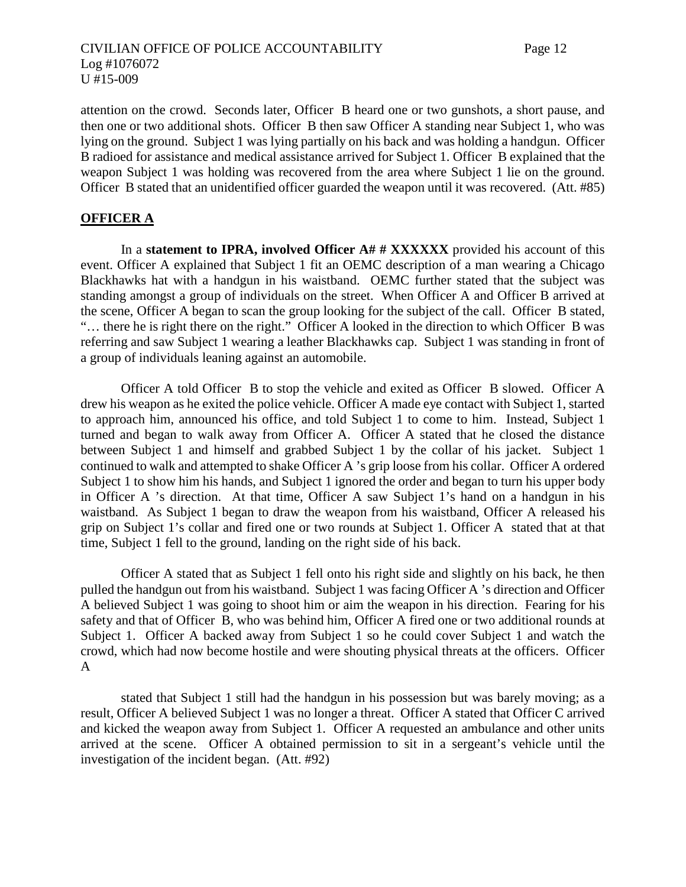attention on the crowd. Seconds later, Officer B heard one or two gunshots, a short pause, and then one or two additional shots. Officer B then saw Officer A standing near Subject 1, who was lying on the ground. Subject 1 was lying partially on his back and was holding a handgun. Officer B radioed for assistance and medical assistance arrived for Subject 1. Officer B explained that the weapon Subject 1 was holding was recovered from the area where Subject 1 lie on the ground. Officer B stated that an unidentified officer guarded the weapon until it was recovered. (Att. #85)

#### **OFFICER A**

In a **statement to IPRA, involved Officer A# # XXXXXX** provided his account of this event. Officer A explained that Subject 1 fit an OEMC description of a man wearing a Chicago Blackhawks hat with a handgun in his waistband. OEMC further stated that the subject was standing amongst a group of individuals on the street. When Officer A and Officer B arrived at the scene, Officer A began to scan the group looking for the subject of the call. Officer B stated, "… there he is right there on the right." Officer A looked in the direction to which Officer B was referring and saw Subject 1 wearing a leather Blackhawks cap. Subject 1 was standing in front of a group of individuals leaning against an automobile.

Officer A told Officer B to stop the vehicle and exited as Officer B slowed. Officer A drew his weapon as he exited the police vehicle. Officer A made eye contact with Subject 1, started to approach him, announced his office, and told Subject 1 to come to him. Instead, Subject 1 turned and began to walk away from Officer A. Officer A stated that he closed the distance between Subject 1 and himself and grabbed Subject 1 by the collar of his jacket. Subject 1 continued to walk and attempted to shake Officer A 's grip loose from his collar. Officer A ordered Subject 1 to show him his hands, and Subject 1 ignored the order and began to turn his upper body in Officer A 's direction. At that time, Officer A saw Subject 1's hand on a handgun in his waistband. As Subject 1 began to draw the weapon from his waistband, Officer A released his grip on Subject 1's collar and fired one or two rounds at Subject 1. Officer A stated that at that time, Subject 1 fell to the ground, landing on the right side of his back.

Officer A stated that as Subject 1 fell onto his right side and slightly on his back, he then pulled the handgun out from his waistband. Subject 1 was facing Officer A 's direction and Officer A believed Subject 1 was going to shoot him or aim the weapon in his direction. Fearing for his safety and that of Officer B, who was behind him, Officer A fired one or two additional rounds at Subject 1. Officer A backed away from Subject 1 so he could cover Subject 1 and watch the crowd, which had now become hostile and were shouting physical threats at the officers. Officer A

stated that Subject 1 still had the handgun in his possession but was barely moving; as a result, Officer A believed Subject 1 was no longer a threat. Officer A stated that Officer C arrived and kicked the weapon away from Subject 1. Officer A requested an ambulance and other units arrived at the scene. Officer A obtained permission to sit in a sergeant's vehicle until the investigation of the incident began. (Att. #92)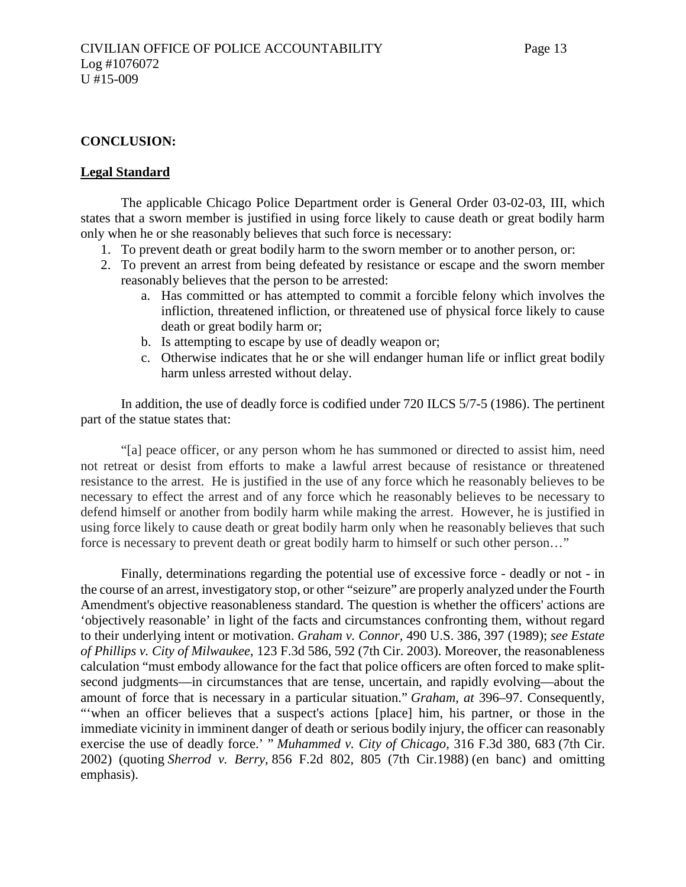#### **CONCLUSION:**

#### **Legal Standard**

The applicable Chicago Police Department order is General Order 03-02-03, III, which states that a sworn member is justified in using force likely to cause death or great bodily harm only when he or she reasonably believes that such force is necessary:

- 1. To prevent death or great bodily harm to the sworn member or to another person, or:
- 2. To prevent an arrest from being defeated by resistance or escape and the sworn member reasonably believes that the person to be arrested:
	- a. Has committed or has attempted to commit a forcible felony which involves the infliction, threatened infliction, or threatened use of physical force likely to cause death or great bodily harm or;
	- b. Is attempting to escape by use of deadly weapon or;
	- c. Otherwise indicates that he or she will endanger human life or inflict great bodily harm unless arrested without delay.

In addition, the use of deadly force is codified under 720 ILCS 5/7-5 (1986). The pertinent part of the statue states that:

"[a] peace officer, or any person whom he has summoned or directed to assist him, need not retreat or desist from efforts to make a lawful arrest because of resistance or threatened resistance to the arrest. He is justified in the use of any force which he reasonably believes to be necessary to effect the arrest and of any force which he reasonably believes to be necessary to defend himself or another from bodily harm while making the arrest. However, he is justified in using force likely to cause death or great bodily harm only when he reasonably believes that such force is necessary to prevent death or great bodily harm to himself or such other person…"

Finally, determinations regarding the potential use of excessive force - deadly or not - in the course of an arrest, investigatory stop, or other "seizure" are properly analyzed under the Fourth Amendment's objective reasonableness standard. The question is whether the officers' actions are 'objectively reasonable' in light of the facts and circumstances confronting them, without regard to their underlying intent or motivation. *Graham v. Connor,* 490 U.S. 386, 397 (1989); *see Estate of Phillips v. City of Milwaukee,* 123 F.3d 586, 592 (7th Cir. 2003). Moreover, the reasonableness calculation "must embody allowance for the fact that police officers are often forced to make splitsecond judgments—in circumstances that are tense, uncertain, and rapidly evolving—about the amount of force that is necessary in a particular situation." *Graham, at* 396–97. Consequently, "'when an officer believes that a suspect's actions [place] him, his partner, or those in the immediate vicinity in imminent danger of death or serious bodily injury, the officer can reasonably exercise the use of deadly force.' " *Muhammed v. City of Chicago,* 316 F.3d 380, 683 (7th Cir. 2002) (quoting *Sherrod v. Berry,* 856 F.2d 802, 805 (7th Cir.1988) (en banc) and omitting emphasis).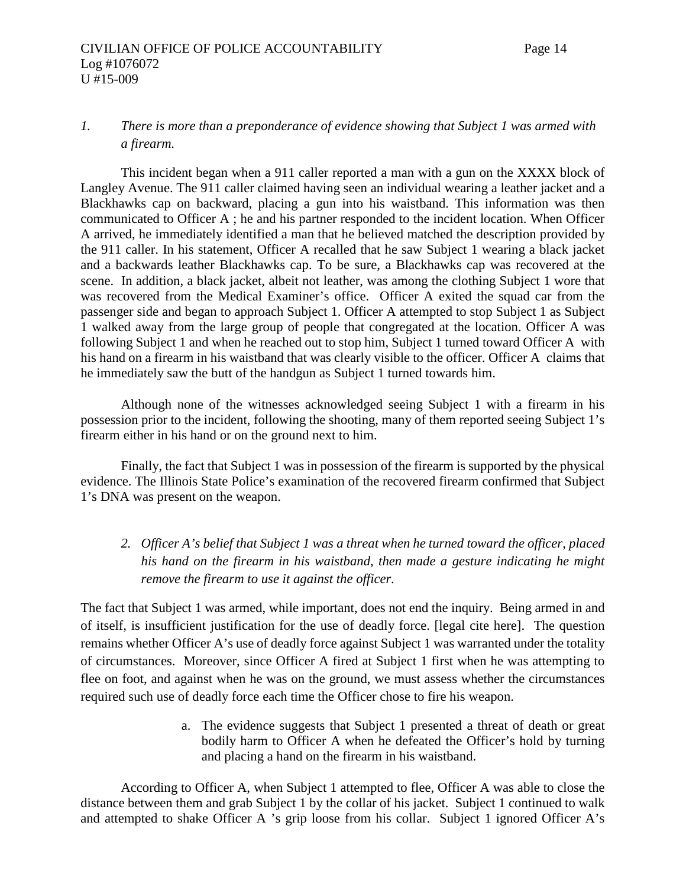# *1. There is more than a preponderance of evidence showing that Subject 1 was armed with a firearm.*

This incident began when a 911 caller reported a man with a gun on the XXXX block of Langley Avenue. The 911 caller claimed having seen an individual wearing a leather jacket and a Blackhawks cap on backward, placing a gun into his waistband. This information was then communicated to Officer A ; he and his partner responded to the incident location. When Officer A arrived, he immediately identified a man that he believed matched the description provided by the 911 caller. In his statement, Officer A recalled that he saw Subject 1 wearing a black jacket and a backwards leather Blackhawks cap. To be sure, a Blackhawks cap was recovered at the scene. In addition, a black jacket, albeit not leather, was among the clothing Subject 1 wore that was recovered from the Medical Examiner's office. Officer A exited the squad car from the passenger side and began to approach Subject 1. Officer A attempted to stop Subject 1 as Subject 1 walked away from the large group of people that congregated at the location. Officer A was following Subject 1 and when he reached out to stop him, Subject 1 turned toward Officer A with his hand on a firearm in his waistband that was clearly visible to the officer. Officer A claims that he immediately saw the butt of the handgun as Subject 1 turned towards him.

Although none of the witnesses acknowledged seeing Subject 1 with a firearm in his possession prior to the incident, following the shooting, many of them reported seeing Subject 1's firearm either in his hand or on the ground next to him.

Finally, the fact that Subject 1 was in possession of the firearm is supported by the physical evidence. The Illinois State Police's examination of the recovered firearm confirmed that Subject 1's DNA was present on the weapon.

*2. Officer A's belief that Subject 1 was a threat when he turned toward the officer, placed his hand on the firearm in his waistband, then made a gesture indicating he might remove the firearm to use it against the officer.*

The fact that Subject 1 was armed, while important, does not end the inquiry. Being armed in and of itself, is insufficient justification for the use of deadly force. [legal cite here]. The question remains whether Officer A's use of deadly force against Subject 1 was warranted under the totality of circumstances. Moreover, since Officer A fired at Subject 1 first when he was attempting to flee on foot, and against when he was on the ground, we must assess whether the circumstances required such use of deadly force each time the Officer chose to fire his weapon.

> a. The evidence suggests that Subject 1 presented a threat of death or great bodily harm to Officer A when he defeated the Officer's hold by turning and placing a hand on the firearm in his waistband.

According to Officer A, when Subject 1 attempted to flee, Officer A was able to close the distance between them and grab Subject 1 by the collar of his jacket. Subject 1 continued to walk and attempted to shake Officer A 's grip loose from his collar. Subject 1 ignored Officer A's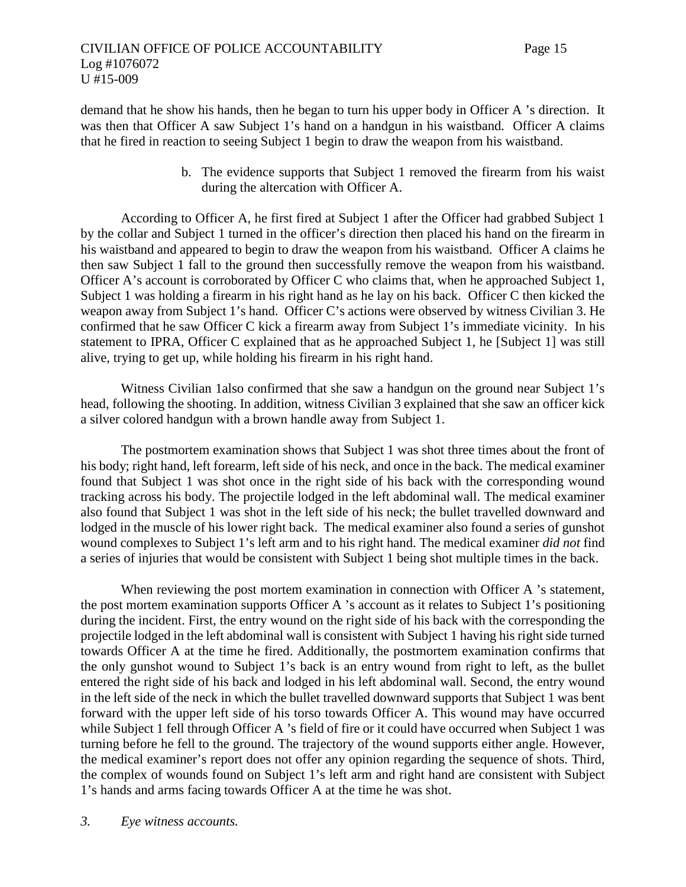demand that he show his hands, then he began to turn his upper body in Officer A 's direction. It was then that Officer A saw Subject 1's hand on a handgun in his waistband. Officer A claims that he fired in reaction to seeing Subject 1 begin to draw the weapon from his waistband.

> b. The evidence supports that Subject 1 removed the firearm from his waist during the altercation with Officer A.

According to Officer A, he first fired at Subject 1 after the Officer had grabbed Subject 1 by the collar and Subject 1 turned in the officer's direction then placed his hand on the firearm in his waistband and appeared to begin to draw the weapon from his waistband. Officer A claims he then saw Subject 1 fall to the ground then successfully remove the weapon from his waistband. Officer A's account is corroborated by Officer C who claims that, when he approached Subject 1, Subject 1 was holding a firearm in his right hand as he lay on his back. Officer C then kicked the weapon away from Subject 1's hand. Officer C's actions were observed by witness Civilian 3. He confirmed that he saw Officer C kick a firearm away from Subject 1's immediate vicinity. In his statement to IPRA, Officer C explained that as he approached Subject 1, he [Subject 1] was still alive, trying to get up, while holding his firearm in his right hand.

Witness Civilian 1also confirmed that she saw a handgun on the ground near Subject 1's head, following the shooting. In addition, witness Civilian 3 explained that she saw an officer kick a silver colored handgun with a brown handle away from Subject 1.

The postmortem examination shows that Subject 1 was shot three times about the front of his body; right hand, left forearm, left side of his neck, and once in the back. The medical examiner found that Subject 1 was shot once in the right side of his back with the corresponding wound tracking across his body. The projectile lodged in the left abdominal wall. The medical examiner also found that Subject 1 was shot in the left side of his neck; the bullet travelled downward and lodged in the muscle of his lower right back. The medical examiner also found a series of gunshot wound complexes to Subject 1's left arm and to his right hand. The medical examiner *did not* find a series of injuries that would be consistent with Subject 1 being shot multiple times in the back.

When reviewing the post mortem examination in connection with Officer A 's statement, the post mortem examination supports Officer A 's account as it relates to Subject 1's positioning during the incident. First, the entry wound on the right side of his back with the corresponding the projectile lodged in the left abdominal wall is consistent with Subject 1 having his right side turned towards Officer A at the time he fired. Additionally, the postmortem examination confirms that the only gunshot wound to Subject 1's back is an entry wound from right to left, as the bullet entered the right side of his back and lodged in his left abdominal wall. Second, the entry wound in the left side of the neck in which the bullet travelled downward supports that Subject 1 was bent forward with the upper left side of his torso towards Officer A. This wound may have occurred while Subject 1 fell through Officer A 's field of fire or it could have occurred when Subject 1 was turning before he fell to the ground. The trajectory of the wound supports either angle. However, the medical examiner's report does not offer any opinion regarding the sequence of shots. Third, the complex of wounds found on Subject 1's left arm and right hand are consistent with Subject 1's hands and arms facing towards Officer A at the time he was shot.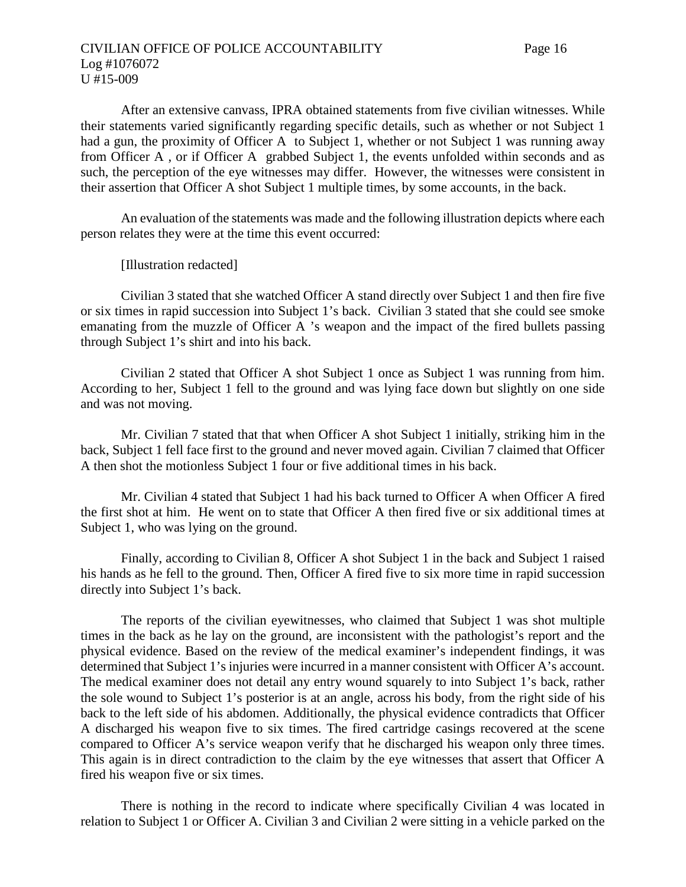After an extensive canvass, IPRA obtained statements from five civilian witnesses. While their statements varied significantly regarding specific details, such as whether or not Subject 1 had a gun, the proximity of Officer A to Subject 1, whether or not Subject 1 was running away from Officer A , or if Officer A grabbed Subject 1, the events unfolded within seconds and as such, the perception of the eye witnesses may differ. However, the witnesses were consistent in their assertion that Officer A shot Subject 1 multiple times, by some accounts, in the back.

An evaluation of the statements was made and the following illustration depicts where each person relates they were at the time this event occurred:

[Illustration redacted]

Civilian 3 stated that she watched Officer A stand directly over Subject 1 and then fire five or six times in rapid succession into Subject 1's back. Civilian 3 stated that she could see smoke emanating from the muzzle of Officer A 's weapon and the impact of the fired bullets passing through Subject 1's shirt and into his back.

Civilian 2 stated that Officer A shot Subject 1 once as Subject 1 was running from him. According to her, Subject 1 fell to the ground and was lying face down but slightly on one side and was not moving.

Mr. Civilian 7 stated that that when Officer A shot Subject 1 initially, striking him in the back, Subject 1 fell face first to the ground and never moved again. Civilian 7 claimed that Officer A then shot the motionless Subject 1 four or five additional times in his back.

Mr. Civilian 4 stated that Subject 1 had his back turned to Officer A when Officer A fired the first shot at him. He went on to state that Officer A then fired five or six additional times at Subject 1, who was lying on the ground.

Finally, according to Civilian 8, Officer A shot Subject 1 in the back and Subject 1 raised his hands as he fell to the ground. Then, Officer A fired five to six more time in rapid succession directly into Subject 1's back.

The reports of the civilian eyewitnesses, who claimed that Subject 1 was shot multiple times in the back as he lay on the ground, are inconsistent with the pathologist's report and the physical evidence. Based on the review of the medical examiner's independent findings, it was determined that Subject 1's injuries were incurred in a manner consistent with Officer A's account. The medical examiner does not detail any entry wound squarely to into Subject 1's back, rather the sole wound to Subject 1's posterior is at an angle, across his body, from the right side of his back to the left side of his abdomen. Additionally, the physical evidence contradicts that Officer A discharged his weapon five to six times. The fired cartridge casings recovered at the scene compared to Officer A's service weapon verify that he discharged his weapon only three times. This again is in direct contradiction to the claim by the eye witnesses that assert that Officer A fired his weapon five or six times.

There is nothing in the record to indicate where specifically Civilian 4 was located in relation to Subject 1 or Officer A. Civilian 3 and Civilian 2 were sitting in a vehicle parked on the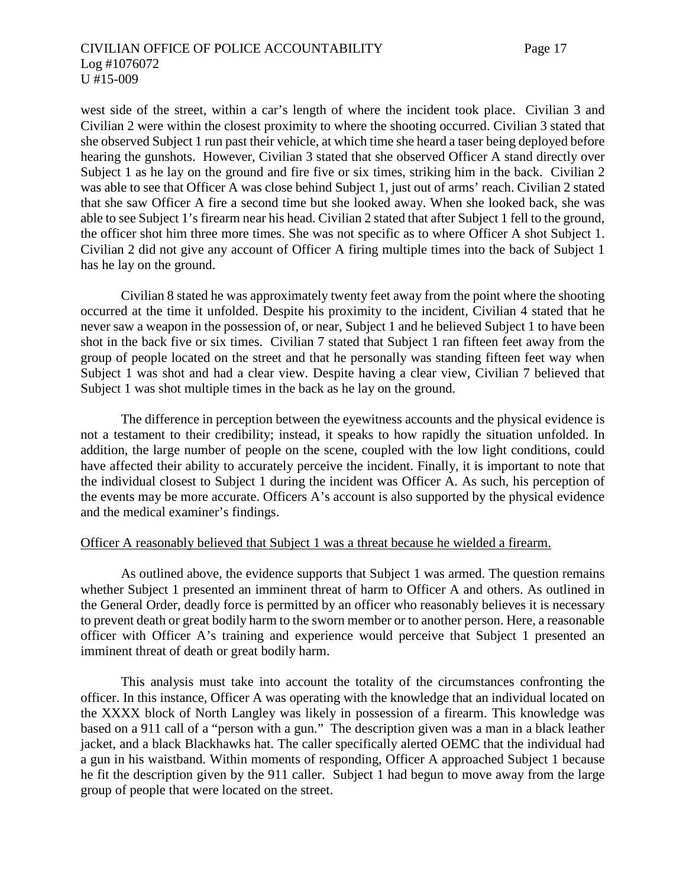# CIVILIAN OFFICE OF POLICE ACCOUNTABILITY Page 17 Log #1076072 U #15-009

west side of the street, within a car's length of where the incident took place. Civilian 3 and Civilian 2 were within the closest proximity to where the shooting occurred. Civilian 3 stated that she observed Subject 1 run past their vehicle, at which time she heard a taser being deployed before hearing the gunshots. However, Civilian 3 stated that she observed Officer A stand directly over Subject 1 as he lay on the ground and fire five or six times, striking him in the back. Civilian 2 was able to see that Officer A was close behind Subject 1, just out of arms' reach. Civilian 2 stated that she saw Officer A fire a second time but she looked away. When she looked back, she was able to see Subject 1's firearm near his head. Civilian 2 stated that after Subject 1 fell to the ground, the officer shot him three more times. She was not specific as to where Officer A shot Subject 1. Civilian 2 did not give any account of Officer A firing multiple times into the back of Subject 1 has he lay on the ground.

Civilian 8 stated he was approximately twenty feet away from the point where the shooting occurred at the time it unfolded. Despite his proximity to the incident, Civilian 4 stated that he never saw a weapon in the possession of, or near, Subject 1 and he believed Subject 1 to have been shot in the back five or six times. Civilian 7 stated that Subject 1 ran fifteen feet away from the group of people located on the street and that he personally was standing fifteen feet way when Subject 1 was shot and had a clear view. Despite having a clear view, Civilian 7 believed that Subject 1 was shot multiple times in the back as he lay on the ground.

The difference in perception between the eyewitness accounts and the physical evidence is not a testament to their credibility; instead, it speaks to how rapidly the situation unfolded. In addition, the large number of people on the scene, coupled with the low light conditions, could have affected their ability to accurately perceive the incident. Finally, it is important to note that the individual closest to Subject 1 during the incident was Officer A. As such, his perception of the events may be more accurate. Officers A's account is also supported by the physical evidence and the medical examiner's findings.

#### Officer A reasonably believed that Subject 1 was a threat because he wielded a firearm.

As outlined above, the evidence supports that Subject 1 was armed. The question remains whether Subject 1 presented an imminent threat of harm to Officer A and others. As outlined in the General Order, deadly force is permitted by an officer who reasonably believes it is necessary to prevent death or great bodily harm to the sworn member or to another person. Here, a reasonable officer with Officer A's training and experience would perceive that Subject 1 presented an imminent threat of death or great bodily harm.

This analysis must take into account the totality of the circumstances confronting the officer. In this instance, Officer A was operating with the knowledge that an individual located on the XXXX block of North Langley was likely in possession of a firearm. This knowledge was based on a 911 call of a "person with a gun." The description given was a man in a black leather jacket, and a black Blackhawks hat. The caller specifically alerted OEMC that the individual had a gun in his waistband. Within moments of responding, Officer A approached Subject 1 because he fit the description given by the 911 caller. Subject 1 had begun to move away from the large group of people that were located on the street.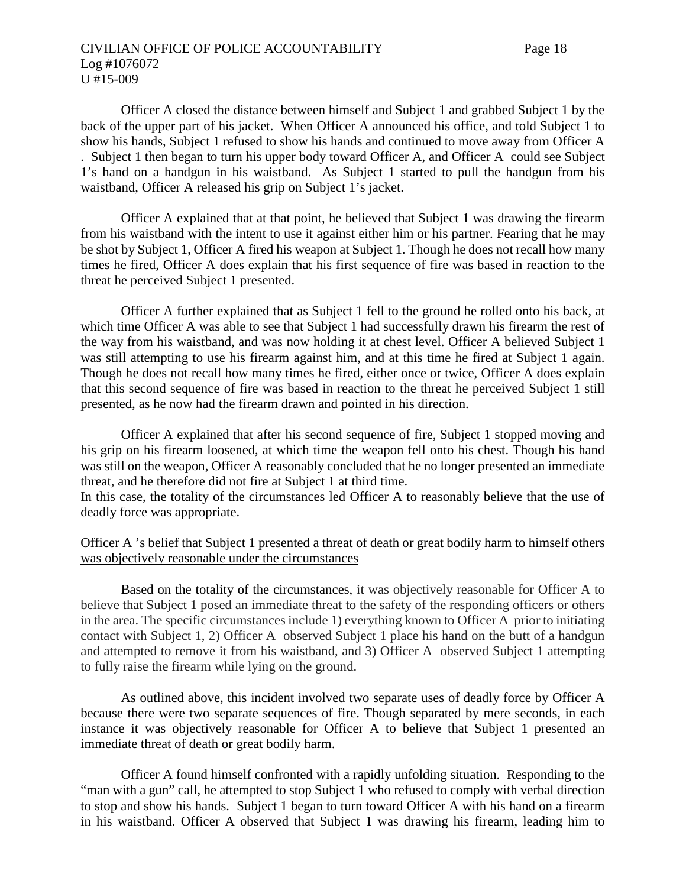# CIVILIAN OFFICE OF POLICE ACCOUNTABILITY Page 18 Log #1076072 U #15-009

Officer A closed the distance between himself and Subject 1 and grabbed Subject 1 by the back of the upper part of his jacket. When Officer A announced his office, and told Subject 1 to show his hands, Subject 1 refused to show his hands and continued to move away from Officer A . Subject 1 then began to turn his upper body toward Officer A, and Officer A could see Subject 1's hand on a handgun in his waistband. As Subject 1 started to pull the handgun from his waistband, Officer A released his grip on Subject 1's jacket.

Officer A explained that at that point, he believed that Subject 1 was drawing the firearm from his waistband with the intent to use it against either him or his partner. Fearing that he may be shot by Subject 1, Officer A fired his weapon at Subject 1. Though he does not recall how many times he fired, Officer A does explain that his first sequence of fire was based in reaction to the threat he perceived Subject 1 presented.

Officer A further explained that as Subject 1 fell to the ground he rolled onto his back, at which time Officer A was able to see that Subject 1 had successfully drawn his firearm the rest of the way from his waistband, and was now holding it at chest level. Officer A believed Subject 1 was still attempting to use his firearm against him, and at this time he fired at Subject 1 again. Though he does not recall how many times he fired, either once or twice, Officer A does explain that this second sequence of fire was based in reaction to the threat he perceived Subject 1 still presented, as he now had the firearm drawn and pointed in his direction.

Officer A explained that after his second sequence of fire, Subject 1 stopped moving and his grip on his firearm loosened, at which time the weapon fell onto his chest. Though his hand was still on the weapon, Officer A reasonably concluded that he no longer presented an immediate threat, and he therefore did not fire at Subject 1 at third time.

In this case, the totality of the circumstances led Officer A to reasonably believe that the use of deadly force was appropriate.

# Officer A 's belief that Subject 1 presented a threat of death or great bodily harm to himself others was objectively reasonable under the circumstances

Based on the totality of the circumstances, it was objectively reasonable for Officer A to believe that Subject 1 posed an immediate threat to the safety of the responding officers or others in the area. The specific circumstances include 1) everything known to Officer A prior to initiating contact with Subject 1, 2) Officer A observed Subject 1 place his hand on the butt of a handgun and attempted to remove it from his waistband, and 3) Officer A observed Subject 1 attempting to fully raise the firearm while lying on the ground.

As outlined above, this incident involved two separate uses of deadly force by Officer A because there were two separate sequences of fire. Though separated by mere seconds, in each instance it was objectively reasonable for Officer A to believe that Subject 1 presented an immediate threat of death or great bodily harm.

Officer A found himself confronted with a rapidly unfolding situation. Responding to the "man with a gun" call, he attempted to stop Subject 1 who refused to comply with verbal direction to stop and show his hands. Subject 1 began to turn toward Officer A with his hand on a firearm in his waistband. Officer A observed that Subject 1 was drawing his firearm, leading him to